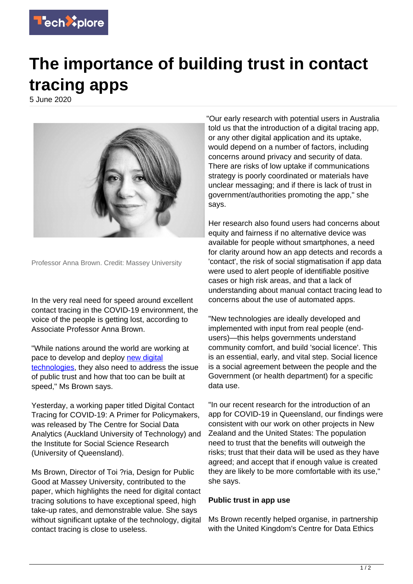

## **The importance of building trust in contact tracing apps**

5 June 2020



Professor Anna Brown. Credit: Massey University

In the very real need for speed around excellent contact tracing in the COVID-19 environment, the voice of the people is getting lost, according to Associate Professor Anna Brown.

"While nations around the world are working at pace to develop and deploy [new digital](https://techxplore.com/tags/new+digital+technologies/) [technologies](https://techxplore.com/tags/new+digital+technologies/), they also need to address the issue of public trust and how that too can be built at speed," Ms Brown says.

Yesterday, a working paper titled Digital Contact Tracing for COVID-19: A Primer for Policymakers, was released by The Centre for Social Data Analytics (Auckland University of Technology) and the Institute for Social Science Research (University of Queensland).

Ms Brown, Director of Toi ?ria, Design for Public Good at Massey University, contributed to the paper, which highlights the need for digital contact tracing solutions to have exceptional speed, high take-up rates, and demonstrable value. She says without significant uptake of the technology, digital contact tracing is close to useless.

"Our early research with potential users in Australia told us that the introduction of a digital tracing app, or any other digital application and its uptake, would depend on a number of factors, including concerns around privacy and security of data. There are risks of low uptake if communications strategy is poorly coordinated or materials have unclear messaging; and if there is lack of trust in government/authorities promoting the app," she says.

Her research also found users had concerns about equity and fairness if no alternative device was available for people without smartphones, a need for clarity around how an app detects and records a 'contact', the risk of social stigmatisation if app data were used to alert people of identifiable positive cases or high risk areas, and that a lack of understanding about manual contact tracing lead to concerns about the use of automated apps.

"New technologies are ideally developed and implemented with input from real people (endusers)—this helps governments understand community comfort, and build 'social licence'. This is an essential, early, and vital step. Social licence is a social agreement between the people and the Government (or health department) for a specific data use.

"In our recent research for the introduction of an app for COVID-19 in Queensland, our findings were consistent with our work on other projects in New Zealand and the United States: The population need to trust that the benefits will outweigh the risks; trust that their data will be used as they have agreed; and accept that if enough value is created they are likely to be more comfortable with its use," she says.

## **Public trust in app use**

Ms Brown recently helped organise, in partnership with the United Kingdom's Centre for Data Ethics